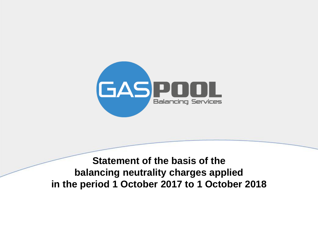

**Statement of the basis of the balancing neutrality charges applied in the period 1 October 2017 to 1 October 2018**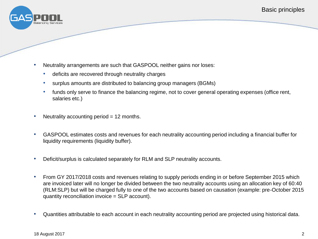

- Neutrality arrangements are such that GASPOOL neither gains nor loses:
	- deficits are recovered through neutrality charges
	- surplus amounts are distributed to balancing group managers (BGMs)
	- funds only serve to finance the balancing regime, not to cover general operating expenses (office rent, salaries etc.)
- Neutrality accounting period  $= 12$  months.
- GASPOOL estimates costs and revenues for each neutrality accounting period including a financial buffer for liquidity requirements (liquidity buffer).
- Deficit/surplus is calculated separately for RLM and SLP neutrality accounts.
- From GY 2017/2018 costs and revenues relating to supply periods ending in or before September 2015 which are invoiced later will no longer be divided between the two neutrality accounts using an allocation key of 60:40 (RLM:SLP) but will be charged fully to one of the two accounts based on causation (example: pre-October 2015 quantity reconciliation invoice = SLP account).
- Quantities attributable to each account in each neutrality accounting period are projected using historical data.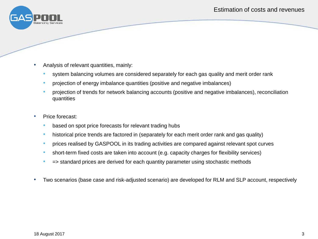

- Analysis of relevant quantities, mainly:
	- system balancing volumes are considered separately for each gas quality and merit order rank
	- projection of energy imbalance quantities (positive and negative imbalances)
	- projection of trends for network balancing accounts (positive and negative imbalances), reconciliation quantities
- Price forecast:
	- based on spot price forecasts for relevant trading hubs
	- historical price trends are factored in (separately for each merit order rank and gas quality)
	- prices realised by GASPOOL in its trading activities are compared against relevant spot curves
	- short-term fixed costs are taken into account (e.g. capacity charges for flexibility services)
	- => standard prices are derived for each quantity parameter using stochastic methods
- Two scenarios (base case and risk-adjusted scenario) are developed for RLM and SLP account, respectively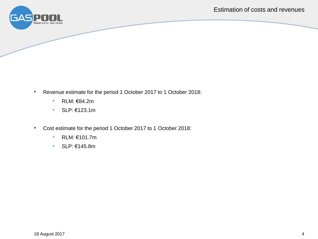

- Revenue estimate for the period 1 October 2017 to 1 October 2018:
	- RLM: €84.2m
	- SLP: €123.1m
- Cost estimate for the period 1 October 2017 to 1 October 2018:
	- RLM: €101.7m
	- SLP: €145.8m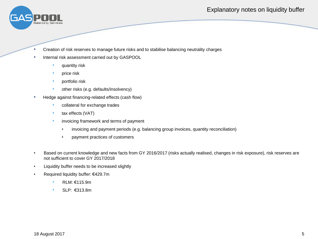## Explanatory notes on liquidity buffer



- Creation of risk reserves to manage future risks and to stabilise balancing neutrality charges
- Internal risk assessment carried out by GASPOOL
	- quantity risk
	- price risk
	- portfolio risk
	- other risks (e.g. defaults/insolvency)
- Hedge against financing-related effects (cash flow)
	- collateral for exchange trades
	- tax effects (VAT)
	- invoicing framework and terms of payment
		- invoicing and payment periods (e.g. balancing group invoices, quantity reconciliation)
		- payment practices of customers
- Based on current knowledge and new facts from GY 2016/2017 (risks actually realised, changes in risk exposure), risk reserves are not sufficient to cover GY 2017/2018
- Liquidity buffer needs to be increased slightly
- Required liquidity buffer: €429.7m
	- RLM: €115.9m
	- SLP: €313.8m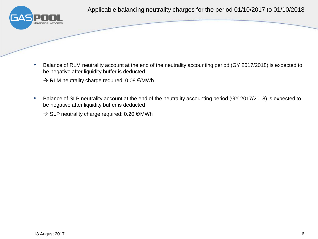

- Balance of RLM neutrality account at the end of the neutrality accounting period (GY 2017/2018) is expected to be negative after liquidity buffer is deducted
	- $\rightarrow$  RLM neutrality charge required: 0.08  $\epsilon$ /MWh
- Balance of SLP neutrality account at the end of the neutrality accounting period (GY 2017/2018) is expected to be negative after liquidity buffer is deducted
	- $\rightarrow$  SLP neutrality charge required: 0.20  $\epsilon$ /MWh